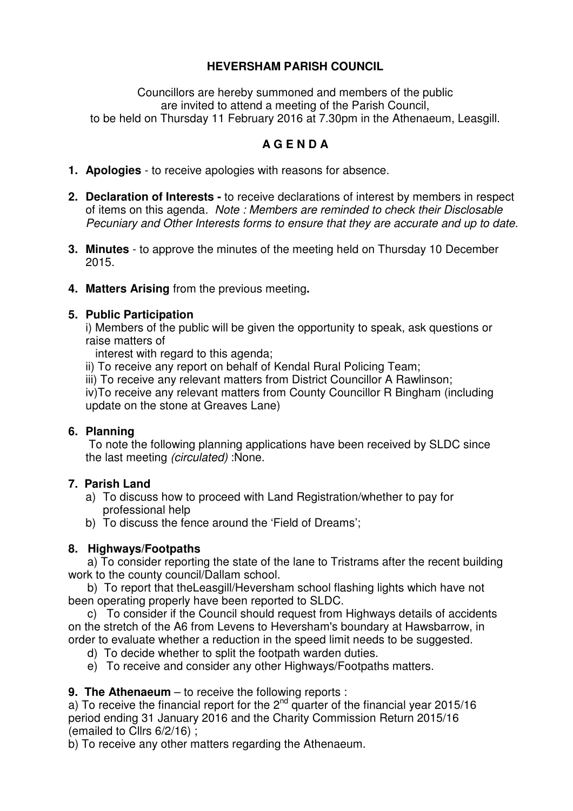## **HEVERSHAM PARISH COUNCIL**

Councillors are hereby summoned and members of the public are invited to attend a meeting of the Parish Council, to be held on Thursday 11 February 2016 at 7.30pm in the Athenaeum, Leasgill.

# **A G E N D A**

- **1. Apologies**  to receive apologies with reasons for absence.
- **2. Declaration of Interests -** to receive declarations of interest by members in respect of items on this agenda*. Note : Members are reminded to check their Disclosable Pecuniary and Other Interests forms to ensure that they are accurate and up to date.*
- **3. Minutes** to approve the minutes of the meeting held on Thursday 10 December 2015.
- **4. Matters Arising** from the previous meeting**.**

#### **5. Public Participation**

i) Members of the public will be given the opportunity to speak, ask questions or raise matters of

interest with regard to this agenda;

ii) To receive any report on behalf of Kendal Rural Policing Team;

iii) To receive any relevant matters from District Councillor A Rawlinson;

iv)To receive any relevant matters from County Councillor R Bingham (including update on the stone at Greaves Lane)

## **6. Planning**

 To note the following planning applications have been received by SLDC since the last meeting *(circulated)* :None.

## **7. Parish Land**

- a) To discuss how to proceed with Land Registration/whether to pay for professional help
- b) To discuss the fence around the 'Field of Dreams';

## **8. Highways/Footpaths**

 a) To consider reporting the state of the lane to Tristrams after the recent building work to the county council/Dallam school.

 b) To report that theLeasgill/Heversham school flashing lights which have not been operating properly have been reported to SLDC.

 c) To consider if the Council should request from Highways details of accidents on the stretch of the A6 from Levens to Heversham's boundary at Hawsbarrow, in order to evaluate whether a reduction in the speed limit needs to be suggested.

d) To decide whether to split the footpath warden duties.

e) To receive and consider any other Highways/Footpaths matters.

## **9. The Athenaeum** – to receive the following reports :

a) To receive the financial report for the  $2<sup>nd</sup>$  quarter of the financial year 2015/16 period ending 31 January 2016 and the Charity Commission Return 2015/16 (emailed to Cllrs 6/2/16) ;

b) To receive any other matters regarding the Athenaeum.